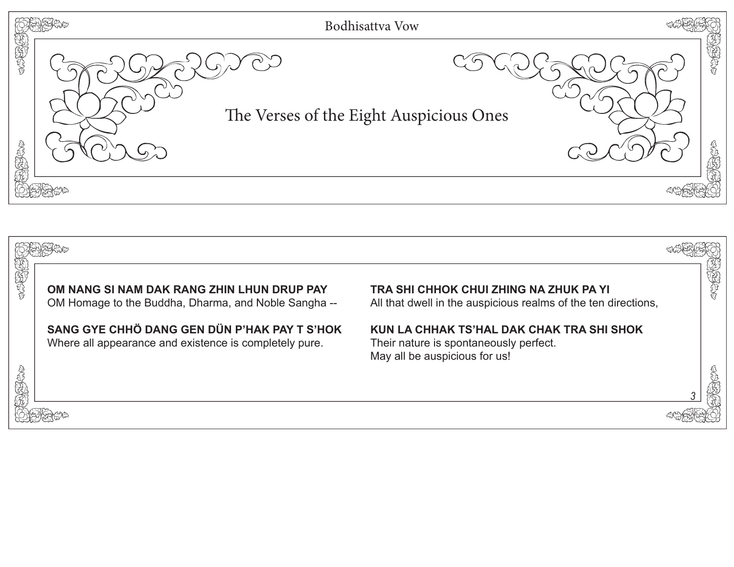

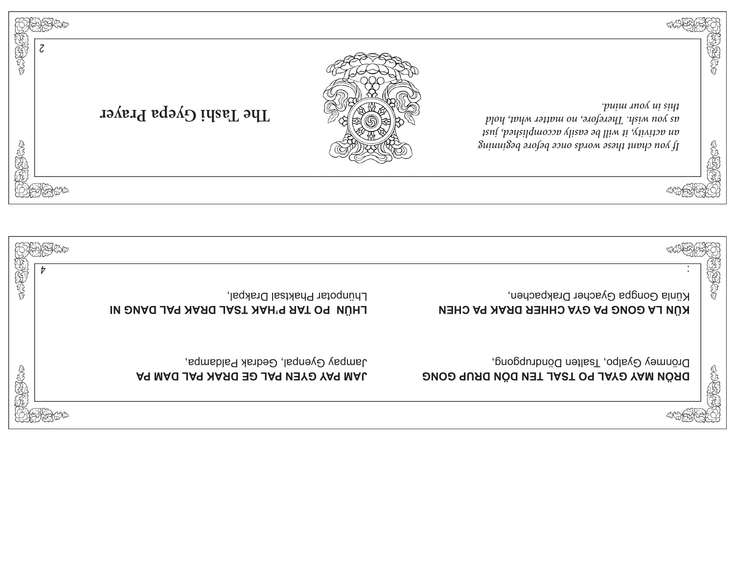

![](_page_1_Picture_1.jpeg)

RIA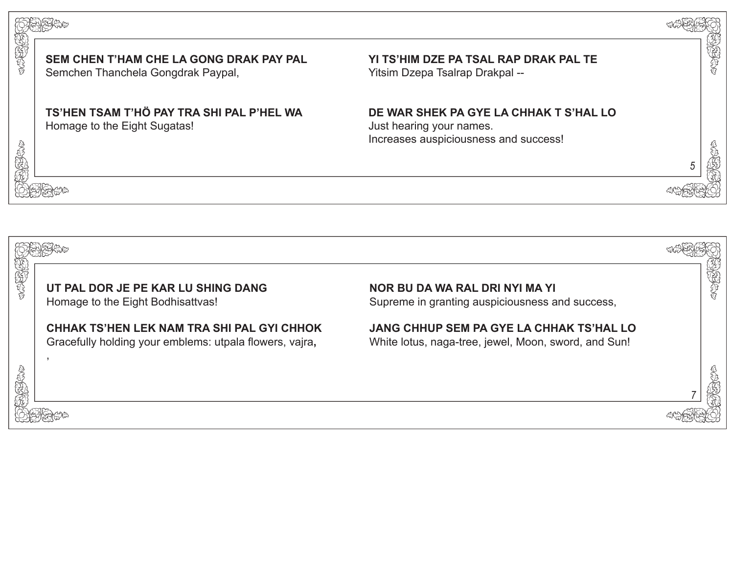![](_page_2_Picture_0.jpeg)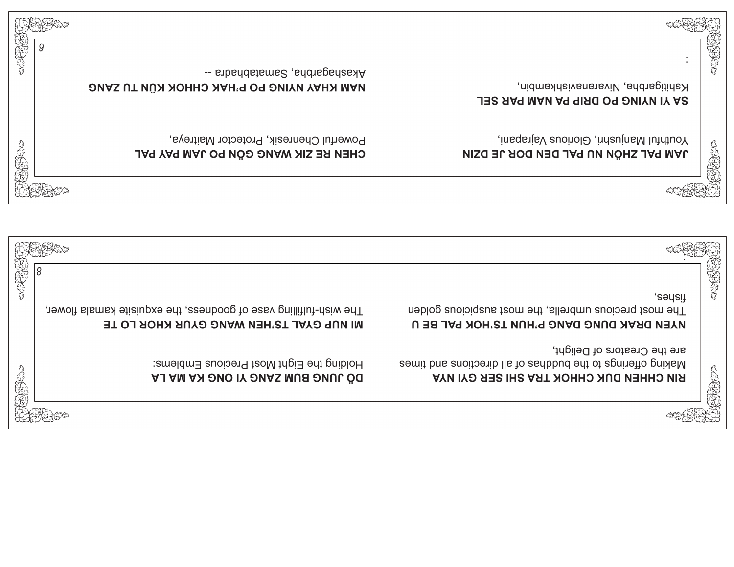| SERVENTS            | 9<br>-- sibaddatems2, and agencate<br>NAM KHAY NYING PO P'HAK CHHOK KÜN TU ZANG                                    | 現実がます<br>kshitigarbha, Nivaranavishkambin,<br><b>JES AAR MAM AR RIRO OR DUITY IN ARTIAL</b>                                                      |
|---------------------|--------------------------------------------------------------------------------------------------------------------|--------------------------------------------------------------------------------------------------------------------------------------------------|
| 高度先生                | Powerful Chenresik, Protector Maitreya,<br>CHEN BE SIK MANG GÖN PO JAM PAY PAL                                     | insqsiteV auoinolO indauinal luiduoY<br>经经济<br><b>UNA PAL ZHÖN NU PAL DEN DOR JE DZIN</b>                                                        |
|                     |                                                                                                                    |                                                                                                                                                  |
|                     |                                                                                                                    |                                                                                                                                                  |
|                     |                                                                                                                    |                                                                                                                                                  |
| <b>CONSTRUCTION</b> | 8<br>The wish-fulfilling vase of goodness, the exquisite kamala flower,<br>MI NUP GYAL TS'HEN WANG GYUR KHOR LO TE | SCOCOL<br>tizpus:<br>The most precious umbrella, the most auspicious golden<br>NAEN DRAK DUNG DANG P'HUN TS'HOK PAL BE U                         |
| 医性的第                | Holding the Eight Most Precious Emblems:<br>DO JUNG BUN ZANG YI ONG KA MA LA                                       | are the Creators of Delight,<br>Making offerings to the buddhas of all directions and times<br>SIGNER<br>RIN CHHEN DUK CHHOK TRA SHI SER GYI NYA |
|                     |                                                                                                                    |                                                                                                                                                  |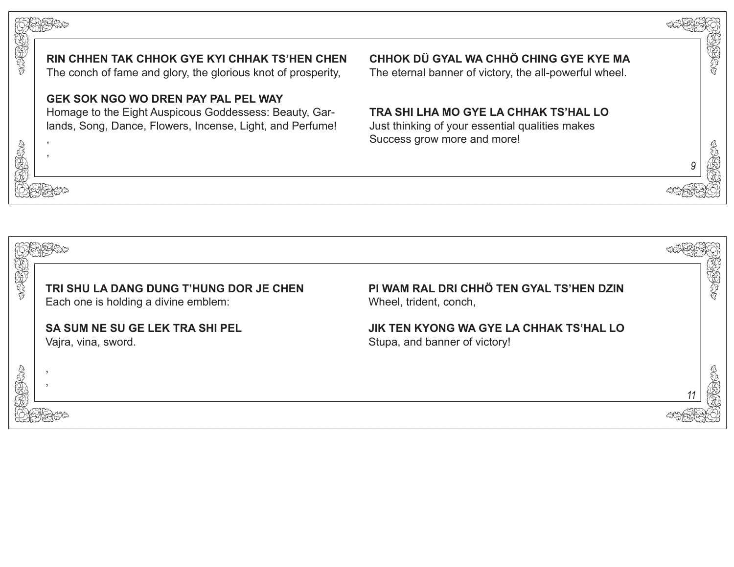![](_page_4_Picture_0.jpeg)

*11*

![](_page_4_Picture_1.jpeg)

,

, ,

**KARKA** 

TRA A

地方的

网络保护

CONSIGNER

**RIN CHHEN TAK CHHOK GYE KYI CHHAK TS'HEN CHEN**

The conch of fame and glory, the glorious knot of prosperity,

## **GEK SOK NGO WO DREN PAY PAL PEL WAY**

Homage to the Eight Auspicous Goddessess: Beauty, Garlands, Song, Dance, Flowers, Incense, Light, and Perfume!